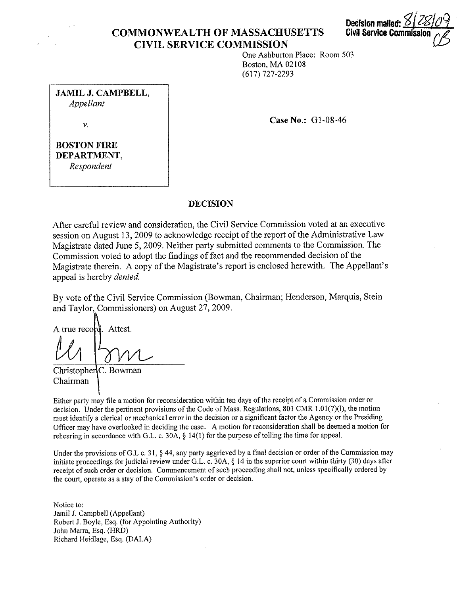

# **COMMONWEALTH OF MASSACHUSETTS CIVIL SERVICE COMMISSION**



One Ashburton Place: Room 503 Boston, MA 02108 (617) 727-2293

**JAMIL J. CAMPBELL,**  *Appellant* 

**CaseNo.:** Gl-08-46

V.

**BOSTON FIRE DEPARTMENT,**  *Respondent* 

## **DECISION**

After careful review and consideration, the Civil Service Commission voted at an executive session on August 13, 2009 to acknowledge receipt of the report of the Administrative Law Magistrate dated June 5, 2009. Neither party submitted comments to the Commission. The Commission voted to adopt the findings of fact and the recommended decision of the Magistrate therein. A copy of the Magistrate's report is enclosed herewith. The Appellant's appeal is hereby *denied*.

By vote of the Civil Service Commission (Bowman, Chairman; Henderson, Marquis, Stein and Taylor, Commissioners) on August 27, 2009.

A true record. Attest.

Christopher C. Bowman Chairman

Either party may file a motion for reconsideration within ten days of the receipt of a Commission order or decision. Under the pertinent provisions of the Code of Mass. Regulations, 801 CMR 1.01(7)(l), the motion must identify a clerical or mechanical error in the decision or a significant factor the Agency or the Presiding Officer may have overlooked in deciding the case. A motion for reconsideration shall be deemed a motion for rehearing in accordance with G.L. c. 30A, § 14(1) for the purpose of tolling the time for appeal.

Under the provisions of G.L c. 31, § 44, any party aggrieved by a final decision or order of the Commission may initiate proceedings for judicial review under G.L. c. 30A, § 14 in the superior court within thirty (30) days after receipt of such order or decision. Commencement of such proceeding shall not, unless specifically ordered by the court, operate as a stay of the Commission's order or decision.

Notice to: Jamil J. Campbell (Appellant) Robert J. Boyle, Esq. (for Appointing Authority) John Marra, Esq. (HRD) Richard Heidlage, Esq. (DALA)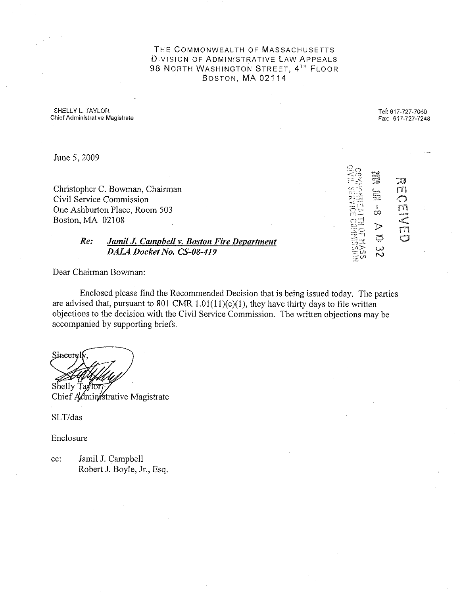THE COMMONWEALTH OF MASSACHUSETTS DIVISION OF ADMINISTRATIVE LAW APPEALS 98 NORTH WASHINGTON STREET, 4<sup>th</sup> FLOOR BOSTON, MA 02114

SHELLY L. TAYLOR **Chief Administrative Magistrate**  Tel: 617-727-7060 Fax: 617-727-7248

~,1,  $\triangleright$   $\uparrow$ rn

 $\equiv$ i.:~-::::'> ~;~ ::::;!J rn (') ' ~'1"1

سب<br>سبب<br>سان

co

.<br>تب w  $\sim$ 

June 5, 2009

Christopher C. Bowman, Chairman Civil Service Commission One Ashburton Place, Room 503 Boston, MA 02108

## *Re: Jamil J. Campbell v. Boston Fire Department DALA Docket No. CS-08-419*

Dear Chairman Bowman:

Enclosed please find the Recommended Decision that is being issued today. The parties are advised that, pursuant to 801 CMR  $1.01(11)(c)(1)$ , they have thirty days to file written objections to the decision with the Civil Service Commission. The written objections may be accompanied by supporting briefs.

Sincerel Shelly Ta∦tor

Chief Administrative Magistrate

SLT/das

Enclosure

cc: Jamil J. Campbell Robert J. Boyle, Jr., Esq.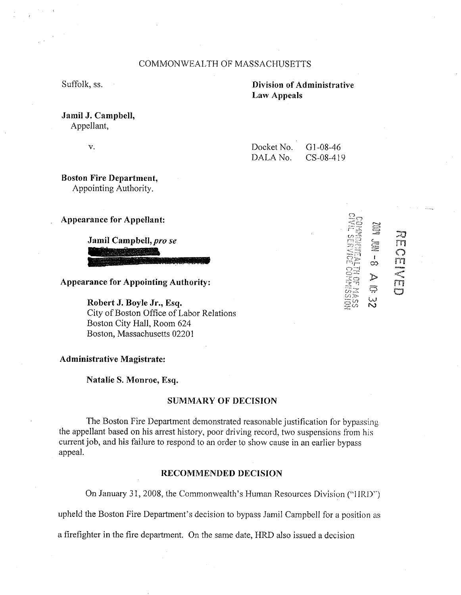## COMMONWEALTH OF MASSACHUSETTS

Suffolk, ss.

## **Division of Administrative Law Appeals**

# **Jamil J. Campbell,**

Appellant,

V.

| Docket No. | $G1-08-46$  |
|------------|-------------|
| DALA No.   | $CS-08-419$ |

**Boston Fire Department,**  Appointing Authority.

**Appearance for Appellant:** 

**Jamil Campbell,pro** *se* 

**Appearance for Appointing Authority:** 

**Robert J. Boyle Jr., Esq.**  City of Boston Office of Labor Relations Boston City Hall, Room 624 Boston, Massachusetts 02201

#### **Administrative Magistrate:**

**Natalie S. Monroe, Esq.** 

#### **SUMMARY OF DECISION**

The Boston Fire Department demonstrated reasonable justification for bypassing the appellant based on his arrest history, poor driving record, two suspensions from his current job, and his failure to respond to an order to show cause in an earlier bypass appeal.

#### **RECOMMENDED DECISION**

On January 3 I, 2008, the Commonwealth's Human Resources Division ("I IRD")

upheld the Boston Fire Department's decision to bypass Jamil Campbell for a position as

a firefighter in the fire department. On the same date, HRD also issued a decision

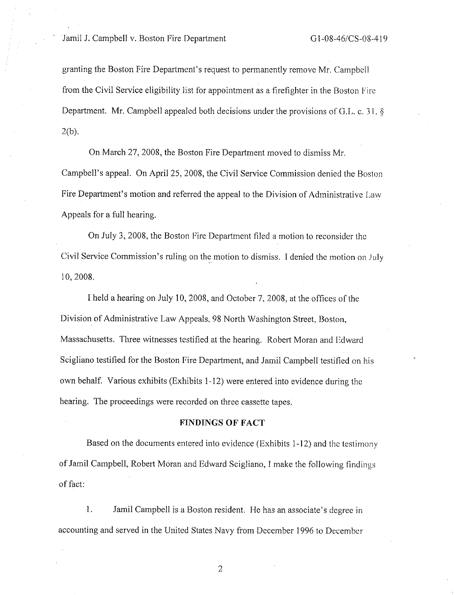granting the Boston Fire Department's request to permanently remove Mr. Campbell from the Civil Service eligibility list for appointment as a firefighter in the Boston Fire Department. Mr. Campbell appealed both decisions under the provisions of G.L. c. 31,  $\S$  $2(b)$ .

On March 27, 2008, the Boston Fire Department moved to dismiss Mr. Campbell's appeal. On April 25, 2008, the Civil Service Commission denied the Boston Fire Department's motion and referred the appeal to the Division of Administrative Law Appeals for a full hearing.

On July 3, 2008, the Boston Fire Department filed a motion to reconsider the Civil Service Commission's ruling on the motion to dismiss. I denied the motion on July 10, 2008.

I held a hearing on July 10, 2008, and October 7, 2008, at the offices of the Division of Administrative Law Appeals, 98 North Washington Street, Boston, Massachusetts. Three witnesses testified at the hearing. Robert Moran and Edward Scigliano testified for the Boston Fire Department, and Jamil Campbell testified on his own behalf. Various exhibits (Exhibits 1-12) were entered into evidence during the hearing. The proceedings were recorded on three cassette tapes.

#### **FINDINGS OF FACT**

Based on the documents entered into evidence (Exhibits 1-12) and the testimony of Jamil Campbell, Robert Moran and Edward Scigliano, I make the following findings of fact:

I. Jamil Campbell is a Boston resident. He has an associate' s degree in accounting and served in the United States Navy from December 1996 to December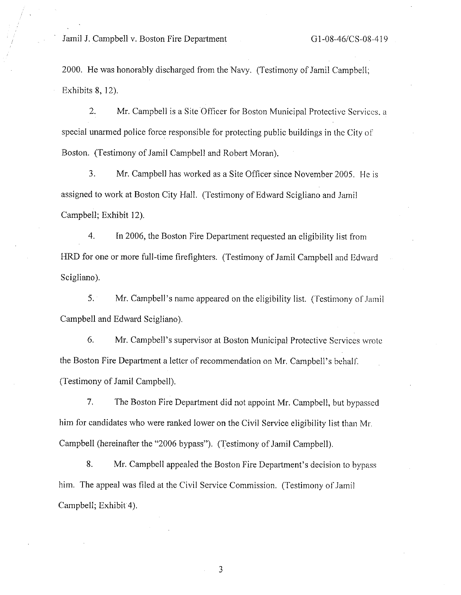2000. He was honorably discharged from the Navy. (Testimony of Jamil Campbell; Exhibits 8, 12).

2. Mr. Campbell is a Site Officer for Boston Municipal Protective Services. a special unarmed police force responsible for protecting public buildings in the City of Boston. (Testimony of Jamil Campbell and Robert Moran).

3. Mr. Campbell has worked as a Site Officer since November 2005. He is assigned to work at Boston City Hall. (Testimony of Edward Scigliano and Jamil Campbell; Exhibit 12).

4. In 2006, the Boston Fire Department requested an eligibility list from HRD for one or more full-time firefighters. (Testimony of Jamil Campbell and Edward Scigliano).

5. Mr. Campbell's name appeared on the eligibility list. (Testimony of Jamil Campbell and Edward Scigliano).

6. Mr. Campbell's supervisor at Boston Municipal Protective Services wrote the Boston Fire Department a letter of recommendation on Mr. Campbell's behalf. (Testimony of Jamil Campbell).

7. The Boston Fire Department did not appoint Mr. Campbell, but bypassed him for candidates who were ranked lower on the Civil Service eligibility list than Mr. Campbell (hereinafter the "2006 bypass"). (Testimony of Jamil Campbell).

8. Mr. Campbell appealed the Boston Fire Department's decision to bypass him. The appeal was filed at the Civil Service Commission. (Testimony of Jamil Campbell; Exhibit 4).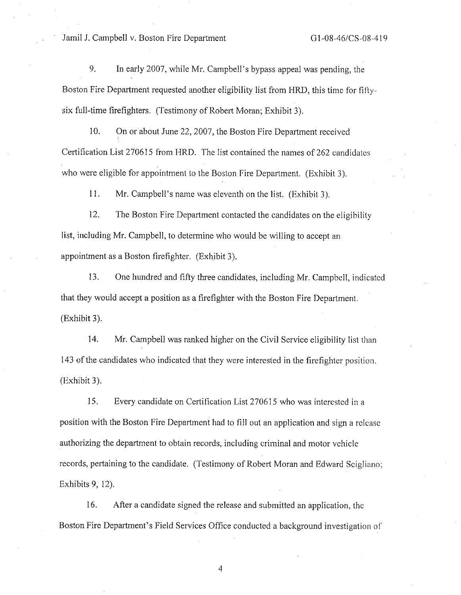9. In early 2007, while Mr. Campbell's bypass appeal was pending, the Boston Fire Depmtment requested another eligibility list from HRD, this time for fiftysix full-time firefighters. (Testimony of Robert Moran; Exhibit 3).

10. On or about June 22, 2007, the Boston Fire Department received Certification List 270615 from HRD. The list contained the names of 262 candidates who were eligible for appointment to the Boston Fire Department. (Exhibit 3).

11. Mr. Campbell's name was eleventh on the list. (Exhibit 3).

12. The Boston Fire Department contacted the candidates on the eligibility list, including Mr. Campbell, to determine who would be willing to accept an appointment as a Boston firefighter. (Exhibit 3).

13. One hundred and fifty three candidates, including Mr. Campbell, indicated that they would accept a position as a firefighter with the Boston Fire Department. (Exhibit 3).

14. Mr. Campbell was ranked higher on the Civil Service eligibility list than 143 of the candidates who indicated that they were interested in the firefighter position. (Exhibit 3).

15. Every candidate on Certification List 270615 who was interested in a position with the Boston Fire Department had to fill out an application and sign a release authorizing the department to obtain records, including criminal and motor vehicle records, pertaining to the candidate. (Testimony of Robert Moran and Edward Scigliano; Exhibits 9, 12).

16. After a candidate signed the release and submitted an application, the Boston Fire Department's Field Services Office conducted a background investigation of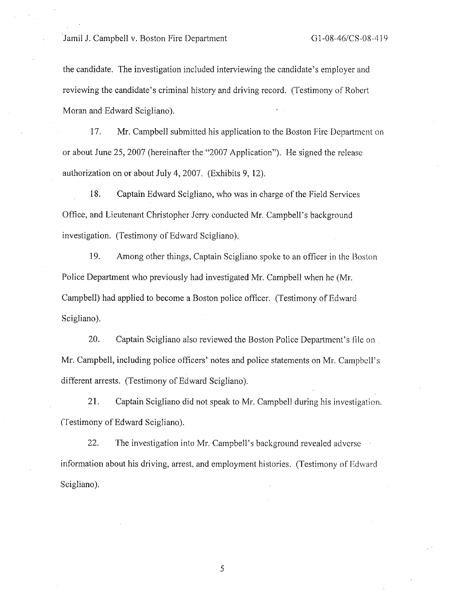the candidate. The investigation included interviewing the candidate's employer and reviewing the candidate's criminal history and driving record. (Testimony of Robert Moran and Edward Scigliano).

17. Mr. Campbell submitted his application to the Boston Fire Department on or about June 25, 2007 (hereinafter the "2007 Application"). He signed the release authorization on or about July 4, 2007. (Exhibits 9, 12).

**18.** Captain Edward Scigliano, who was **in** charge of the Field Services Office, and Lieutenant Christopher Jerry conducted Mr. Campbell's background investigation. (Testimony of Edward Scigliano).

19. Among other things, Captain Scigliano spoke to an officer in the Boston Police Department who previously had investigated Mr. Campbell when he (Mr. Campbell) had applied to become a Boston police officer. (Testimony of Edward Scigliano).

20. Captain Scigliano also reviewed the Boston Police Department's file on Mr. Campbell, including police officers' notes and police statements on Mr. Campbell's different arrests. (Testimony of Edward Scigliano).

21. Captain Scigliano did not speak to Mr. Campbell during his investigation. (Testimony of Edward Scigliano).

22. The investigation into Mr. Campbell's background revealed adverse information about his driving, arrest, and employment histories. (Testimony of Edward Scigliano).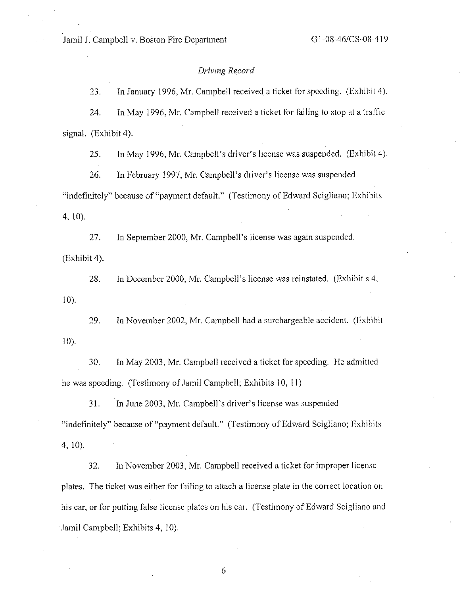## *Driving Record*

23. In January 1996, Mr. Campbell received a ticket for speeding. (Exhibit 4).

24. In May 1996, Mr. Campbell received a ticket for failing to stop at a traffic signal. (Exhibit 4).

25. In May 1996, Mr. Campbell's driver's license was suspended. (Exhibit 4).

26. In February I 997, Mr. Campbell's driver's license was suspended "indefinitely" because of"payment default." (Testimony of Edward Scigliano; Exhibits 4, 10).

27. In September 2000, Mr. Campbell's license was again suspended. (Exhibit 4).

28. In December 2000, Mr. Campbell's license was reinstated. (Exhibit s 4,  $10$ ).

29. In November 2002, Mr. Campbell had a surchargeable accident. (Exhibit  $10$ ).

30. In May 2003, Mr. Campbell received a ticket for speeding. Ile admitted he was speeding. (Testimony of Jamil Campbell; Exhibits 10, 11 ).

31. In June 2003, Mr. Campbell's driver's license was suspended "indefinitely" because of"payment default." (Testimony of Edward Scigliano; Exhibits 4, 10).

32. In November 2003, Mr. Campbell received a ticket for improper license plates. The ticket was either for failing to attach a license plate in the correct location on his car, or for putting false license plates on his car. (Testimony of Edward Scigliano and Jamil Campbell; Exhibits 4, 10).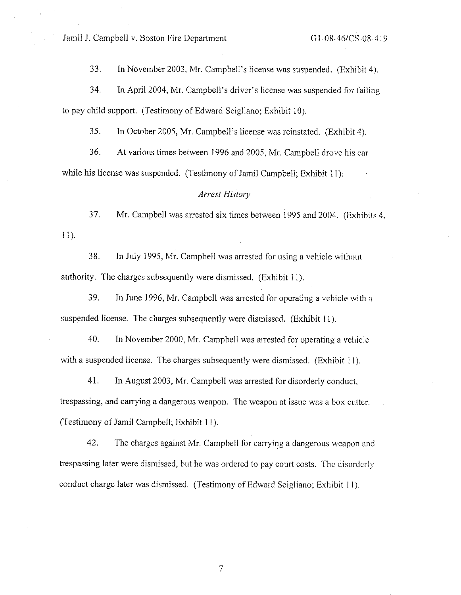33. In November 2003, Mr. Campbell's license was suspended. (Exhibit 4 ).

34. In April 2004, Mr. Campbell's driver's license was suspended for failing to pay child support. (Testimony of Edward Scigliano; Exhibit 10).

35. In October 2005, Mr. Campbell's license was reinstated. (Exhibit 4).

36. At various times between 1996 and 2005, Mr. Campbell drove his car while his license was suspended. (Testimony of Jamil Campbell; Exhibit 11).

### *Arrest History*

37. Mr. Campbell was arrested six times between 1995 and 2004. (Exhibits 4,  $11)$ .

38. In July 1995, Mr. Campbell was arrested for using a vehicle without authority. The charges subsequently were dismissed. (Exhibit 11).

39. In June 1996, Mr. Campbell was arrested for operating a vehicle with a suspended license. The charges subsequently were dismissed. (Exhibit 11).

40. In November 2000, Mr. Campbell was arrested for operating a vehicle with a suspended license. The charges subsequently were dismissed. (Exhibit 11).

41. In August 2003, Mr. Campbell was arrested for disorderly conduct, trespassing, and carrying a dangerous weapon. The weapon at issue was a box cutter. (Testimony of Jamil Campbell; Exhibit 11 ).

42. The charges against Mr. Campbell for carrying a dangerous weapon and trespassing later were dismissed, but he was ordered to pay court costs. The disorderly conduct charge later was dismissed. (Testimony of Edward Scigliano; Exhibit 11 ).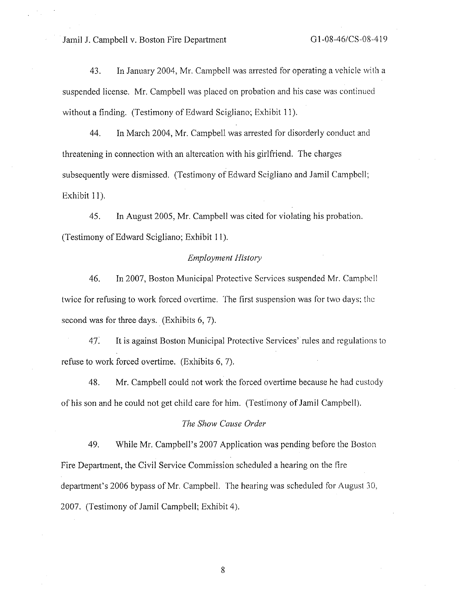43. In January 2004, Mr. Campbell was arrested for operating a vehicle with a suspended license. Mr. Campbell was placed on probation and his case was continued without a finding. (Testimony of Edward Scigliano; Exhibit 11).

44. In March 2004, Mr. Campbell was arrested for disorderly conduct and threatening in connection with an altercation with his girlfriend. The charges subsequently were dismissed. (Testimony of Edward Scigliano and Jamil Campbell: Exhibit 11).

45. In August 2005, Mr. Campbell was cited for violating his probation. (Testimony of Edward Scigliano; Exhibit 11).

## *Employment History*

46. In 2007, Boston Municipal Protective Services suspended Mr. Campbell twice for refusing to work forced overtime. The first suspension was for two days: the second was for three days. (Exhibits 6, 7).

47: It is against Boston Municipal Protective Services' rules and regulations to refuse to work forced overtime. (Exhibits 6, 7).

48. Mr. Campbell could not work the forced overtime because he had custody of his son and he could not get child care for him. (Testimony of Jamil Campbell).

## *The Show Cause Order*

49. While Mr. Campbell's 2007 Application was pending before the Boston Fire Department, the Civil Service Commission scheduled a hearing on the fire department's 2006 bypass of Mr. Campbell. The hearing was scheduled for August 30, 2007. (Testimony of Jamil Campbell; Exhibit 4).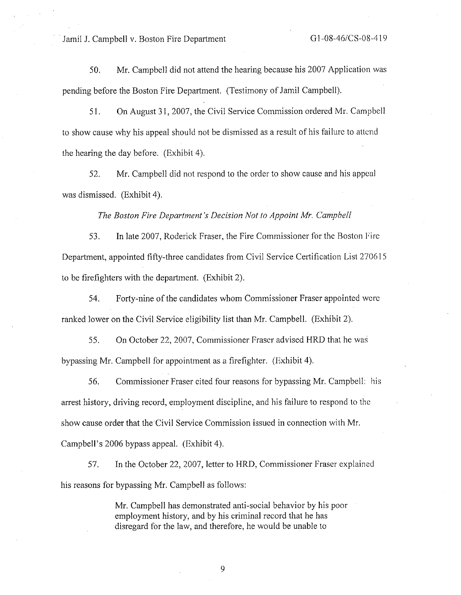50. Mr. Campbell did not attend the hearing because his 2007 Application was pending before the Boston Fire Department. (Testimony of Jamil Campbell).

5 I. On August 31, 2007, the Civil Service Commission ordered Mr. Campbell to show cause why his appeal should not be dismissed as a result of his failure to attend the hearing the day before. (Exhibit 4).

52. Mr. Campbell did not respond to the order to show cause and his appeal was dismissed. (Exhibit 4).

*The Boston Fire Department's Decision Not to Appoint Mr. Camphell* 

53. In late 2007, Roderick Fraser, the Fire Commissioner for the Boston Fire Department, appointed fifty-three candidates from Civil Service Certification List 270615 to be firefighters with the department. (Exhibit 2).

54. Forty-nine of the candidates whom Commissioner Fraser appointed were ranked lower on the Civil Service eligibility list than Mr. Campbell. (Exhibit 2).

55. On October 22, 2007, Commissioner Fraser advised HRD that he was bypassing Mr. Campbell for appointment as a firefighter. (Exhibit 4).

56. Commissioner Fraser cited four reasons for bypassing Mr. Campbell: his arrest history, driving record, employment discipline, and his failure to respond to the show cause order that the Civil Service Commission issued in connection with Mr. Campbell's 2006 bypass appeal. (Exhibit 4).

57. In the October 22, 2007, letter to HRD, Commissioner Fraser explained his reasons for bypassing Mr. Campbell as follows:

> Mr. Campbell has demonstrated anti-social behavior by his poor employment history, and by his criminal record that he has disregard for the law, and therefore, he would be unable to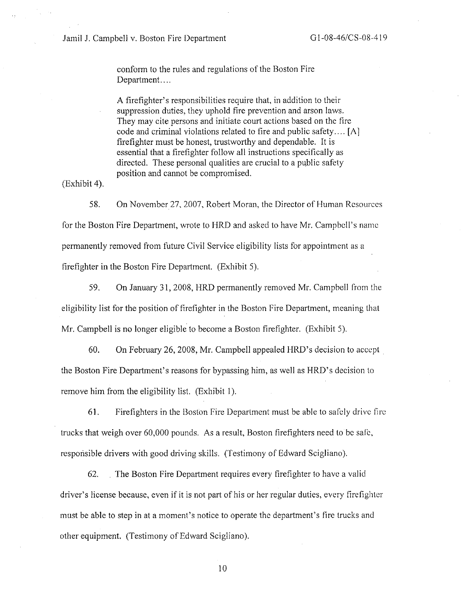conform to the rules and regulations of the Boston Fire Department....

A firefighter's responsibilities require that, in addition to their suppression duties, they uphold fire prevention and arson laws. They may cite persons and initiate court actions based on the fire code and criminal violations related to fire and public safety .... [Al firefighter must be honest, trustworthy and dependable. It is essential that a firefighter follow all instructions specifically as directed. These personal qualities are crucial to a public safety position and cannot be compromised.

(Exhibit 4).

58. On November 27, 2007, Robert Moran, the Director of Human Resources for the Boston Fire Department, wrote to HRD and asked to have Mr. Campbell's name permanently removed from future Civil Service eligibility lists for appointment as a firefighter in the Boston Fire Department. (Exhibit 5).

59. On January 31, 2008, HRD permanently removed Mr. Campbell from the eligibility list for the position of firefighter in the Boston Fire Department, meaning lhat Mr. Campbell is no longer eligible to become a Boston firefighter. (Exhibit 5).

60. On February 26, 2008, Mr. Campbell appealed HRD's decision to accept . the Boston Fire Department's reasons for bypassing him, as well as HRD's decision to remove him from the eligibility list. (Exhibit 1).

61. Firefighters in the Boston Fire Department must be able to safely drive fire trucks that weigh over 60,000 pounds. As a result, Boston firefighters need to be safe, responsible drivers with good driving skills. (Testimony of Edward Scigliano).

62. The Boston Fire Department requires every firefighter to have a valid driver's license because, even if it is not part of his or her regular duties, every firefighter must be able to step in at a moment's notice to operate the department's fire trucks and other equipment. (Testimony of Edward Scigliano).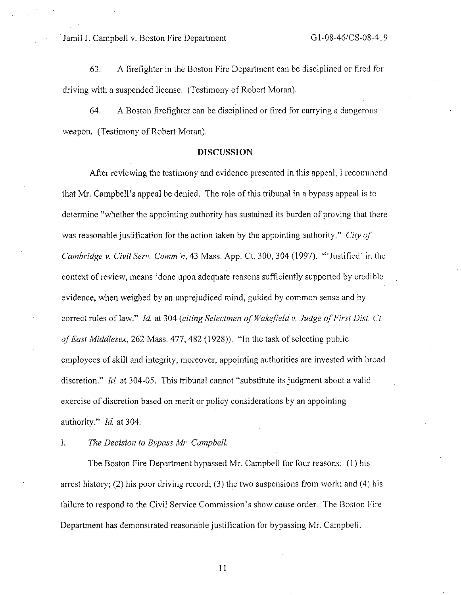63. A firefighter in the Boston Fire Department can be disciplined or fired for driving with a suspended license. (Testimony of Robert Moran).

64. A Boston firefighter can be disciplined or fired for carrying a dangerous weapon. (Testimony of Robert Moran).

#### **DISCUSSION**

After reviewing the testimony and evidence presented in this appeal, I recommend that Mr. Campbell's appeal be denied. The role of this tribunal in a bypass appeal is to determine "whether the appointing authority has sustained its burden of proving that there was reasonable justification for the action taken by the appointing authority." *City of Cambridge v. Civil Serv. Comm 'n,* 43 Mass. App. Ct. 300,304 (1997). "'Justified' in the context of review, means 'done upon adequate reasons sufficiently supported by credible evidence, when weighed by an unprejudiced mind, guided by common sense and by correct rules of law." *Id.* at 304 (citing Selectmen of Wakefield v. Judge of First Dist. Ct. of East Middlesex, 262 Mass. 477, 482 (1928)). "In the task of selecting public employees of skill and integrity, moreover, appointing authorities are invested with broad discretion." *Id.* at 304-05. This tribunal cannot "substitute its judgment about a valid exercise of discretion based on merit or policy considerations by an appointing authority." *Id.* at 304.

I. *The Decision to Bypass Mr. Campbell.* 

The Boston Fire Department bypassed Mr. Campbell for four reasons: ( 1) his arrest history; (2) his poor driving record; (3) the two suspensions from work; and (4) his failure to respond to the Civil Service Commission's show cause order. The Boston Fire Department has demonstrated reasonable justification for bypassing Mr. Campbell.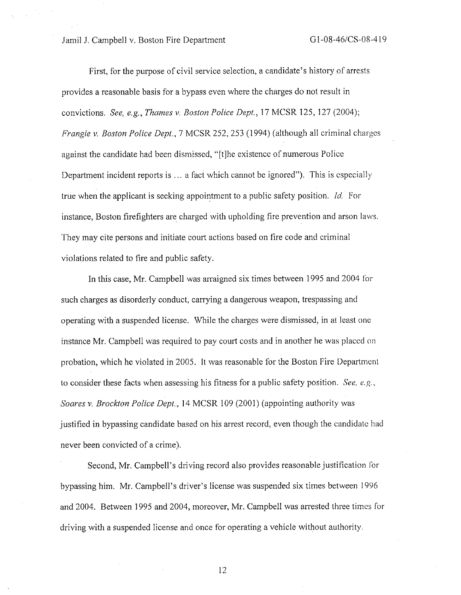First, for the purpose of civil service selection, a candidate's history of arrests provides a reasonable basis for a bypass even where the charges do not result in convictions. *See, e.g., Thames v. Boston Police Dept.,* 17 MCSR 125, 127 (2004); *Frangie v. Boston Police Dept., 7 MCSR 252, 253 (1994) (although all criminal charges* against the candidate had been dismissed, "[t]he existence of numerous Police Department incident reports is  $\ldots$  a fact which cannot be ignored"). This is especially true when the applicant is seeking appointment to a public safety position. *Id.* For instance, Boston firefighters are charged with upholding fire prevention and arson laws. They may cite persons and initiate court actions based on fire code and criminal violations related to fire and public safety.

In this case, Mr. Campbell was arraigned six. times between 1995 and 2004 for such charges as disorderly conduct, carrying a dangerous weapon, trespassing and operating with a suspended license. While the charges were dismissed, in at least one instance Mr. Campbell was required to pay court costs and in another he was placed on probation, which he violated in 2005. It was reasonable for the Boston Fire Department to consider these facts when assessing his fitness for a public safety position. *See. e.g, Soares v. Brockton Police Dept.,* 14 MCSR 109 (2001) (appointing authority was justified in bypassing candidate based on his arrest record, even though the candidate had never been convicted of a crime).

Second, Mr. Campbell's driving record also provides reasonable justification for bypassing him. Mr. Campbell's driver's license was suspended six times between 1996 and 2004. Between 1995 and 2004, moreover, Mr. Campbell was arrested three times for driving with a suspended license and once for operating a vehicle without authority.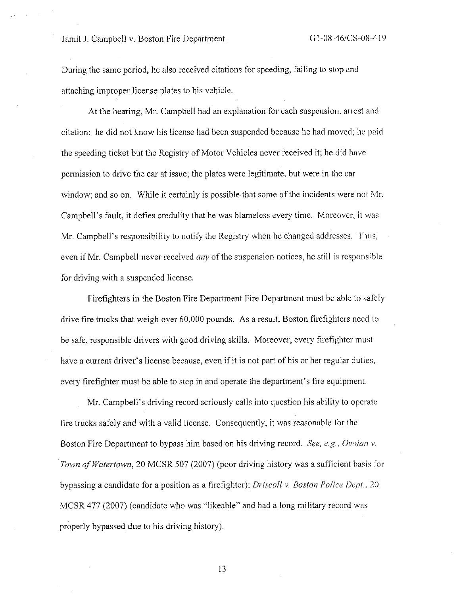During the same period, he also received citations for speeding, failing to stop and attaching improper license plates to his vehicle.

At the hearing, Mr. Campbell had an explanation for each suspension, arrest and citation: he did not know his license had been suspended because he had moved; he paid the speeding ticket but the Registry of Motor Vehicles never received it; he did have permission to drive the car at issue; the plates were legitimate, but were in the car window; and so on. While it certainly is possible that some of the incidents were not Mr. Campbell's fault, it defies credulity that he was blameless every time. Moreover, it was Mr. Campbell's responsibility to notify the Registry when he changed addresses. Thus, even if Mr. Campbell never received *any* of the suspension notices, he still is responsible for driving with a suspended license.

Firefighters in the Boston Fire Department Fire Department must be able to safely drive fire trucks that weigh over 60,000 pounds. As a result, Boston firefighters need lo be safe, responsible drivers with good driving skills. Moreover, every firefighter must have a current driver's license because, even if it is not part of his or her regular duties, every firefighter must be able to step in and operate the department's fire equipment.

Mr. Campbell's driving record seriously calls into question his ability to operate fire trucks safely and with a valid license. Consequently, it was reasonable for the Boston Fire Department to bypass him based on his driving record. *See, e.g., Ovoian v. Town of Watertown,* 20 MCSR 507 (2007) (poor driving history was a sufficient basis for bypassing a candidate for a position as a firefighter); *Driscoll v. Boston Police* Depl .. 20 MCSR 477 (2007) (candidate who was "likeable" and had a long military record was properly bypassed due to his driving history).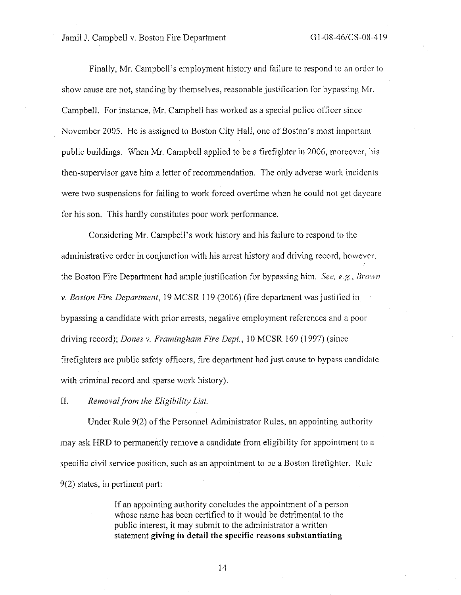Finally, Mr. Campbell's employment history and failure to respond to an order to show cause are not, standing by themselves, reasonable justification for bypassing Mr. Campbell. For instance, Mr. Campbell has worked as a special police officer since November 2005. He is assigned to Boston City Hall, one of Boston's most important public buildings. When Mr. Campbell applied to be a firefighter in 2006, moreover, his then-supervisor gave him a letter of recommendation. The only adverse work incidents were two suspensions for failing to work forced overtime when he could not get daycare for his son. This hardly constitutes poor work performance.

Considering Mr. Campbell's work history and his failure to respond to the administrative order in conjunction with his arrest history and driving record, however, the Boston Fire Department had ample justification for bypassing him. *See. e.g., Brown v. Boston Fire Department,* 19 MCSR 119 (2006) (fire department was justified in bypassing a candidate with prior arrests, negative employment references and a poor driving record); *Dones v. Framingham Fire Dept.,* 10 MCSR 169 (1997) (since firefighters are public safety officers, fire department had just cause to bypass candidate with criminal record and sparse work history).

#### II. *Removal.from the Eligibility List.*

Under Rule 9(2) of the Personnel Administrator Rules, an appointing authority may ask HRD to permanently remove a candidate from eligibility for appointment to a specific civil service position, such as an appointment to be a Boston firefighter. Ruic 9(2) states, in pertinent part:

> If an appointing authority concludes the appointment of a person whose name has been certified to it would be detrimental to the public interest, it may submit to the administrator a written statement **giving in detail the specific reasons substantiating**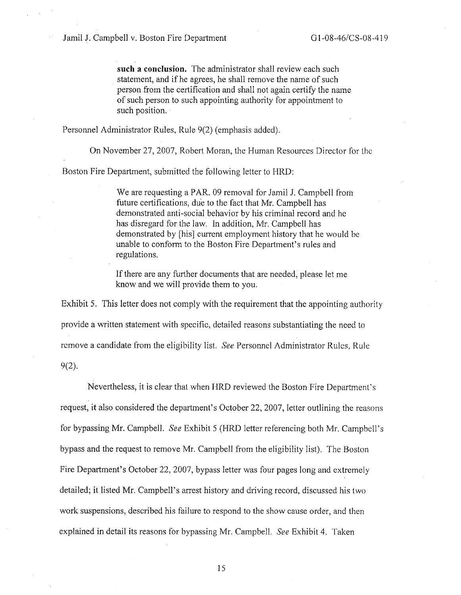**such a conclusion.** The administrator shall review each such statement, and if he agrees, he shall remove the name of such person from the certification and shall not again certify the name of such person to such appointing authority for appointment to such position.

Personnel Administrator Rules, Rule 9(2) (emphasis added).

On November 27, 2007, Robert Moran, the Human Resources Director for the

Boston Fire Department, submitted the following letter to HRD:

We are requesting a PAR. 09 removal for Jamil J. Campbell frorn future certifications, due to the fact that Mr. Campbell has demonstrated anti-social behavior by his criminal record and he has disregard for the law. In addition, Mr. Campbell has demonstrated by [his] current employment history that he would be unable to conform to the Boston Fire Department's rules and regulations.

If there are any further documents that are needed, please let me know and we will provide them to you.

Exhibit 5. This letter does not comply with the requirement that the appointing authority provide a written statement with specific, detailed reasons substantiating the need to remove a candidate from the eligibility list. *See* Personnel Administrator Rules, Ruic 9(2).

Nevertheless, it is clear that when HRD reviewed the Boston Fire Department's request, it also considered the department's October 22, 2007, letter outlining the reasons for bypassing Mr. Campbell. *See* Exhibit 5 (HRD letter referencing both Mr. Campbell's bypass and the request to remove Mr. Campbell from the eligibility list). The Boston Fire Department's October 22, 2007, bypass letter was four pages long and extremely detailed; it listed Mr. Campbell's arrest history and driving record, discussed his two work suspensions, described his failure to respond to the show cause order, and then explained in detail its reasons for bypassing Mr. Campbell. *See* Exhibit 4. Taken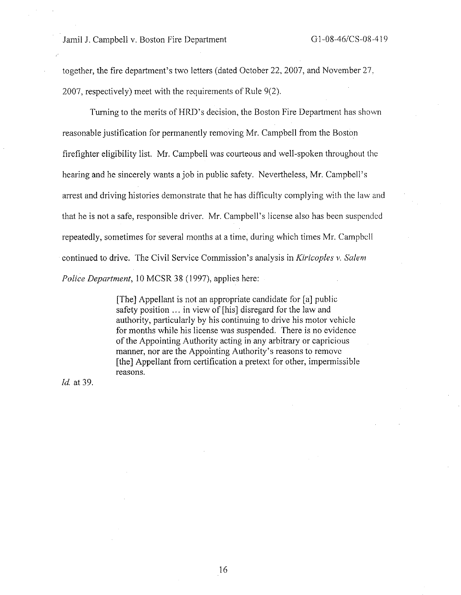together, the fire department's two letters (dated October 22, 2007, and November 27, 2007, respectively) meet with the requirements of Rule 9(2).

Turning to the merits of HRD's decision, the Boston Fire Department has shown reasonable justification for permanently removing Mr. Campbell from the Boston firefighter eligibility list. Mr. Campbell was courteous and well-spoken throughout the hearing and he sincerely wants a job in public safety. Nevertheless, Mr. Campbell's arrest and driving histories demonstrate that he has difficulty complying with the law and that he is not a safe, responsible driver. Mr. Campbell's license also has been suspended repeatedly, sometimes for several months at a time, during which times Mr. Campbell continued to drive. The Civil Service Commission's analysis in *Kiricoples v. Salem Police Department,* IO MCSR 38 (1997), applies here:

> [The] Appellant is not an appropriate candidate for [a] public safety position ... in view of [his] disregard for the law and authority, particularly by his continuing to drive his motor vehicle for months while his license was suspended. There is no evidence of the Appointing Authority acting in any arbitrary or capricious manner, nor are the Appointing Authority's reasons to remove [the] Appellant from certification a pretext for other, impermissible reasons.

*Id.* at 39.